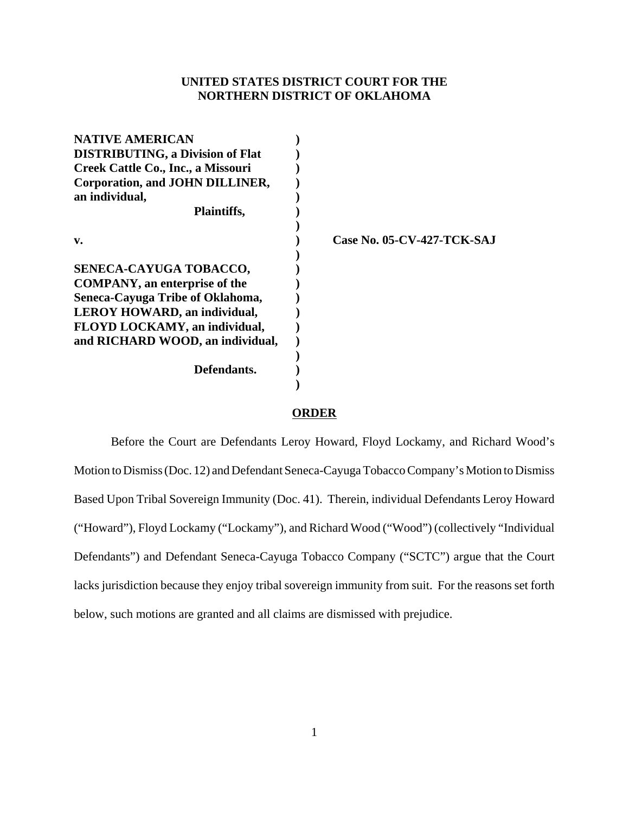# **UNITED STATES DISTRICT COURT FOR THE NORTHERN DISTRICT OF OKLAHOMA**

| <b>NATIVE AMERICAN</b>                  |                                   |
|-----------------------------------------|-----------------------------------|
| <b>DISTRIBUTING, a Division of Flat</b> |                                   |
| Creek Cattle Co., Inc., a Missouri      |                                   |
| Corporation, and JOHN DILLINER,         |                                   |
| an individual,                          |                                   |
| <b>Plaintiffs,</b>                      |                                   |
|                                         |                                   |
| v.                                      | <b>Case No. 05-CV-427-TCK-SAJ</b> |
|                                         |                                   |
| SENECA-CAYUGA TOBACCO,                  |                                   |
| <b>COMPANY</b> , an enterprise of the   |                                   |
| Seneca-Cayuga Tribe of Oklahoma,        |                                   |
| <b>LEROY HOWARD, an individual,</b>     |                                   |
| FLOYD LOCKAMY, an individual,           |                                   |
| and RICHARD WOOD, an individual,        |                                   |
|                                         |                                   |
| Defendants.                             |                                   |
|                                         |                                   |

# **ORDER**

Before the Court are Defendants Leroy Howard, Floyd Lockamy, and Richard Wood's Motion to Dismiss (Doc. 12) and Defendant Seneca-Cayuga Tobacco Company's Motion to Dismiss Based Upon Tribal Sovereign Immunity (Doc. 41). Therein, individual Defendants Leroy Howard ("Howard"), Floyd Lockamy ("Lockamy"), and Richard Wood ("Wood") (collectively "Individual Defendants") and Defendant Seneca-Cayuga Tobacco Company ("SCTC") argue that the Court lacks jurisdiction because they enjoy tribal sovereign immunity from suit. For the reasons set forth below, such motions are granted and all claims are dismissed with prejudice.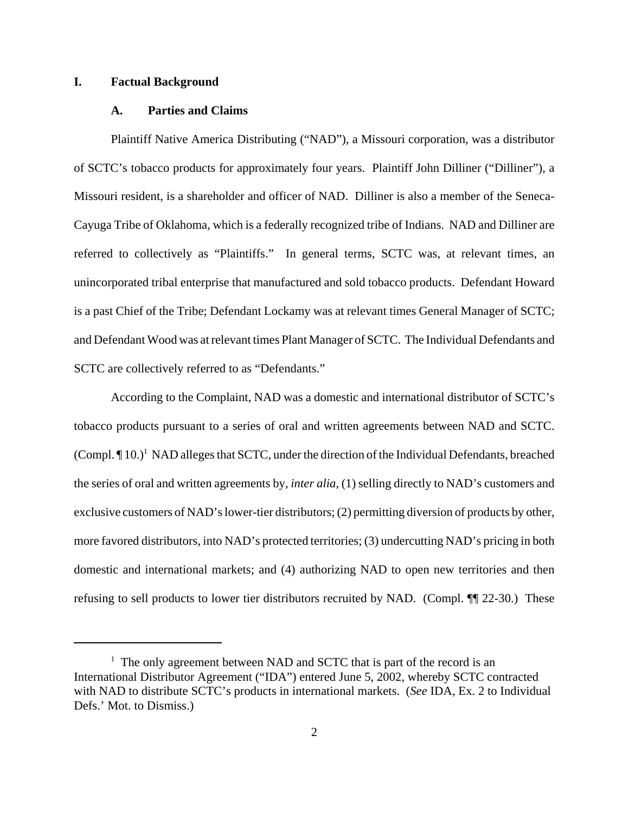### **I. Factual Background**

### **A. Parties and Claims**

Plaintiff Native America Distributing ("NAD"), a Missouri corporation, was a distributor of SCTC's tobacco products for approximately four years. Plaintiff John Dilliner ("Dilliner"), a Missouri resident, is a shareholder and officer of NAD. Dilliner is also a member of the Seneca-Cayuga Tribe of Oklahoma, which is a federally recognized tribe of Indians. NAD and Dilliner are referred to collectively as "Plaintiffs." In general terms, SCTC was, at relevant times, an unincorporated tribal enterprise that manufactured and sold tobacco products. Defendant Howard is a past Chief of the Tribe; Defendant Lockamy was at relevant times General Manager of SCTC; and Defendant Wood was at relevant times Plant Manager of SCTC. The Individual Defendants and SCTC are collectively referred to as "Defendants."

According to the Complaint, NAD was a domestic and international distributor of SCTC's tobacco products pursuant to a series of oral and written agreements between NAD and SCTC. (Compl. ¶ 10.)<sup>1</sup> NAD alleges that SCTC, under the direction of the Individual Defendants, breached the series of oral and written agreements by, *inter alia*, (1) selling directly to NAD's customers and exclusive customers of NAD's lower-tier distributors; (2) permitting diversion of products by other, more favored distributors, into NAD's protected territories; (3) undercutting NAD's pricing in both domestic and international markets; and (4) authorizing NAD to open new territories and then refusing to sell products to lower tier distributors recruited by NAD. (Compl. ¶¶ 22-30.) These

<sup>&</sup>lt;sup>1</sup> The only agreement between NAD and SCTC that is part of the record is an International Distributor Agreement ("IDA") entered June 5, 2002, whereby SCTC contracted with NAD to distribute SCTC's products in international markets. (*See* IDA, Ex. 2 to Individual Defs.' Mot. to Dismiss.)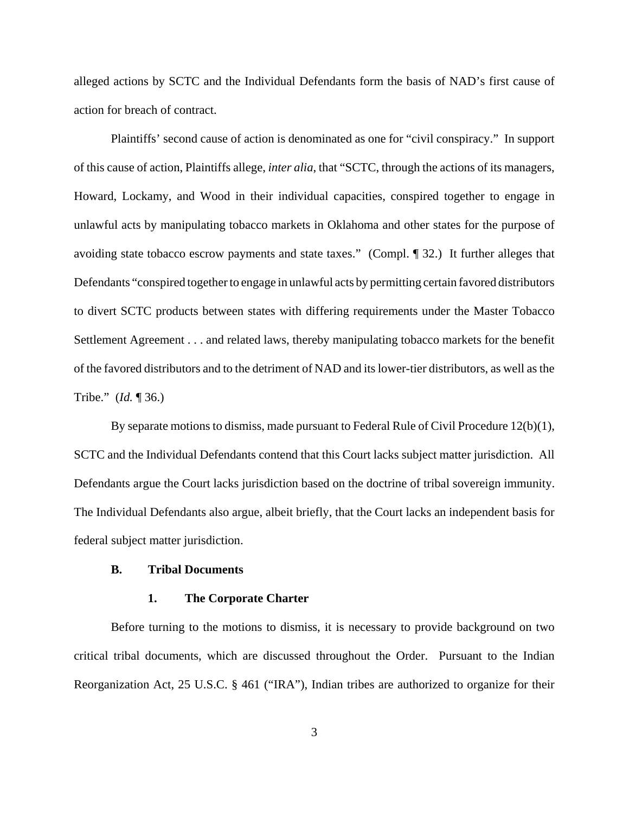alleged actions by SCTC and the Individual Defendants form the basis of NAD's first cause of action for breach of contract.

Plaintiffs' second cause of action is denominated as one for "civil conspiracy." In support of this cause of action, Plaintiffs allege, *inter alia*, that "SCTC, through the actions of its managers, Howard, Lockamy, and Wood in their individual capacities, conspired together to engage in unlawful acts by manipulating tobacco markets in Oklahoma and other states for the purpose of avoiding state tobacco escrow payments and state taxes." (Compl. ¶ 32.) It further alleges that Defendants "conspired together to engage in unlawful acts by permitting certain favored distributors to divert SCTC products between states with differing requirements under the Master Tobacco Settlement Agreement . . . and related laws, thereby manipulating tobacco markets for the benefit of the favored distributors and to the detriment of NAD and its lower-tier distributors, as well as the Tribe." (*Id.* ¶ 36.)

By separate motions to dismiss, made pursuant to Federal Rule of Civil Procedure 12(b)(1), SCTC and the Individual Defendants contend that this Court lacks subject matter jurisdiction. All Defendants argue the Court lacks jurisdiction based on the doctrine of tribal sovereign immunity. The Individual Defendants also argue, albeit briefly, that the Court lacks an independent basis for federal subject matter jurisdiction.

### **B. Tribal Documents**

### **1. The Corporate Charter**

Before turning to the motions to dismiss, it is necessary to provide background on two critical tribal documents, which are discussed throughout the Order. Pursuant to the Indian Reorganization Act, 25 U.S.C. § 461 ("IRA"), Indian tribes are authorized to organize for their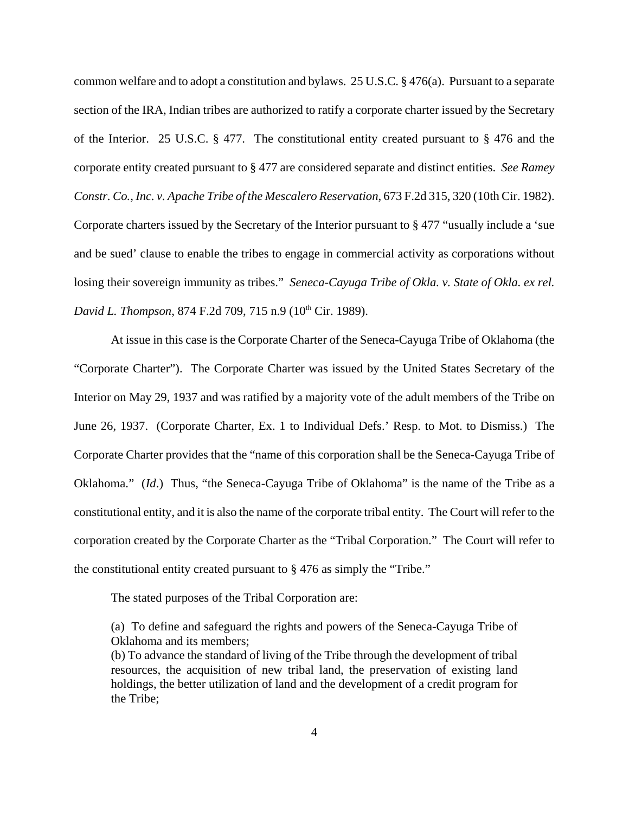common welfare and to adopt a constitution and bylaws. 25 U.S.C. § 476(a). Pursuant to a separate section of the IRA, Indian tribes are authorized to ratify a corporate charter issued by the Secretary of the Interior. 25 U.S.C. § 477. The constitutional entity created pursuant to § 476 and the corporate entity created pursuant to § 477 are considered separate and distinct entities. *See Ramey Constr. Co., Inc. v. Apache Tribe of the Mescalero Reservation*, 673 F.2d 315, 320 (10th Cir. 1982). Corporate charters issued by the Secretary of the Interior pursuant to § 477 "usually include a 'sue and be sued' clause to enable the tribes to engage in commercial activity as corporations without losing their sovereign immunity as tribes." *Seneca-Cayuga Tribe of Okla. v. State of Okla. ex rel. David L. Thompson, 874 F.2d 709, 715 n.9 (10<sup>th</sup> Cir. 1989).* 

At issue in this case is the Corporate Charter of the Seneca-Cayuga Tribe of Oklahoma (the "Corporate Charter"). The Corporate Charter was issued by the United States Secretary of the Interior on May 29, 1937 and was ratified by a majority vote of the adult members of the Tribe on June 26, 1937. (Corporate Charter, Ex. 1 to Individual Defs.' Resp. to Mot. to Dismiss.) The Corporate Charter provides that the "name of this corporation shall be the Seneca-Cayuga Tribe of Oklahoma." (*Id*.) Thus, "the Seneca-Cayuga Tribe of Oklahoma" is the name of the Tribe as a constitutional entity, and it is also the name of the corporate tribal entity. The Court will refer to the corporation created by the Corporate Charter as the "Tribal Corporation." The Court will refer to the constitutional entity created pursuant to § 476 as simply the "Tribe."

The stated purposes of the Tribal Corporation are:

(a) To define and safeguard the rights and powers of the Seneca-Cayuga Tribe of Oklahoma and its members;

(b) To advance the standard of living of the Tribe through the development of tribal resources, the acquisition of new tribal land, the preservation of existing land holdings, the better utilization of land and the development of a credit program for the Tribe;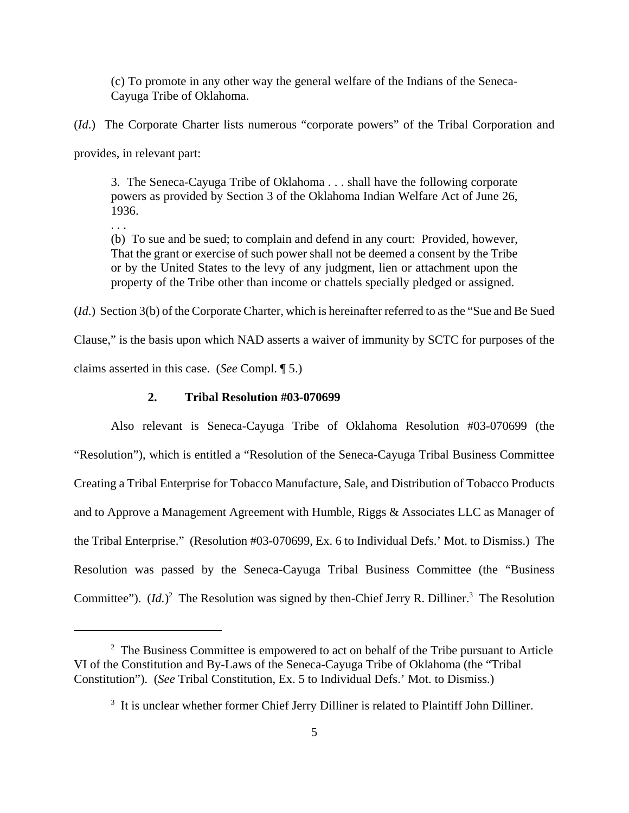(c) To promote in any other way the general welfare of the Indians of the Seneca-Cayuga Tribe of Oklahoma.

(*Id*.) The Corporate Charter lists numerous "corporate powers" of the Tribal Corporation and

provides, in relevant part:

3. The Seneca-Cayuga Tribe of Oklahoma . . . shall have the following corporate powers as provided by Section 3 of the Oklahoma Indian Welfare Act of June 26, 1936.

. . .

(b) To sue and be sued; to complain and defend in any court: Provided, however, That the grant or exercise of such power shall not be deemed a consent by the Tribe or by the United States to the levy of any judgment, lien or attachment upon the property of the Tribe other than income or chattels specially pledged or assigned.

(*Id*.) Section 3(b) of the Corporate Charter, which is hereinafter referred to as the "Sue and Be Sued

Clause," is the basis upon which NAD asserts a waiver of immunity by SCTC for purposes of the claims asserted in this case. (*See* Compl. ¶ 5.)

# **2. Tribal Resolution #03-070699**

Also relevant is Seneca-Cayuga Tribe of Oklahoma Resolution #03-070699 (the "Resolution"), which is entitled a "Resolution of the Seneca-Cayuga Tribal Business Committee Creating a Tribal Enterprise for Tobacco Manufacture, Sale, and Distribution of Tobacco Products and to Approve a Management Agreement with Humble, Riggs & Associates LLC as Manager of the Tribal Enterprise." (Resolution #03-070699, Ex. 6 to Individual Defs.' Mot. to Dismiss.) The Resolution was passed by the Seneca-Cayuga Tribal Business Committee (the "Business Committee").  $(Id.)^2$  The Resolution was signed by then-Chief Jerry R. Dilliner.<sup>3</sup> The Resolution

 $2<sup>2</sup>$  The Business Committee is empowered to act on behalf of the Tribe pursuant to Article VI of the Constitution and By-Laws of the Seneca-Cayuga Tribe of Oklahoma (the "Tribal Constitution"). (*See* Tribal Constitution, Ex. 5 to Individual Defs.' Mot. to Dismiss.)

<sup>&</sup>lt;sup>3</sup> It is unclear whether former Chief Jerry Dilliner is related to Plaintiff John Dilliner.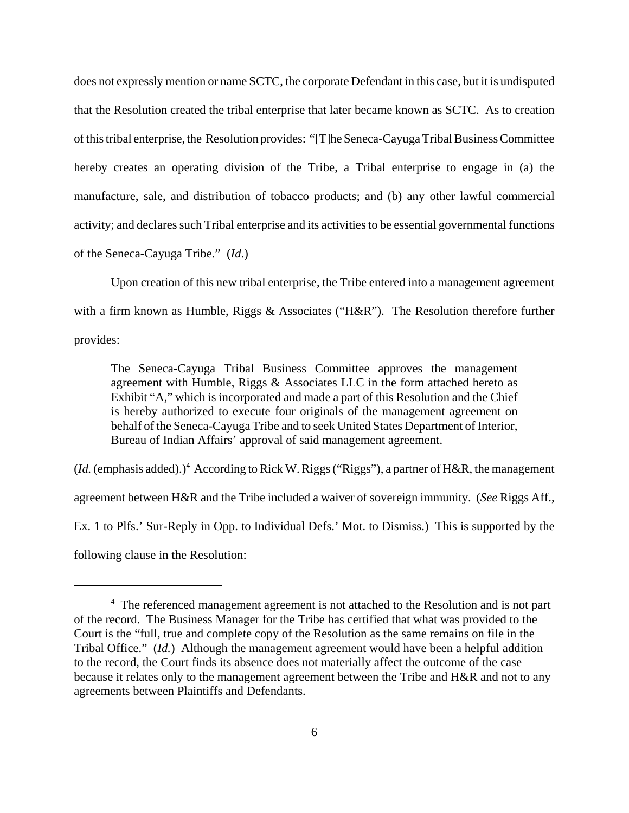does not expressly mention or name SCTC, the corporate Defendant in this case, but it is undisputed that the Resolution created the tribal enterprise that later became known as SCTC. As to creation of this tribal enterprise, the Resolution provides: "[T]he Seneca-Cayuga Tribal Business Committee hereby creates an operating division of the Tribe, a Tribal enterprise to engage in (a) the manufacture, sale, and distribution of tobacco products; and (b) any other lawful commercial activity; and declares such Tribal enterprise and its activities to be essential governmental functions of the Seneca-Cayuga Tribe." (*Id*.)

Upon creation of this new tribal enterprise, the Tribe entered into a management agreement with a firm known as Humble, Riggs & Associates ("H&R"). The Resolution therefore further provides:

The Seneca-Cayuga Tribal Business Committee approves the management agreement with Humble, Riggs  $\&$  Associates LLC in the form attached hereto as Exhibit "A," which is incorporated and made a part of this Resolution and the Chief is hereby authorized to execute four originals of the management agreement on behalf of the Seneca-Cayuga Tribe and to seek United States Department of Interior, Bureau of Indian Affairs' approval of said management agreement.

(*Id.* (emphasis added).)<sup>4</sup> According to Rick W. Riggs ("Riggs"), a partner of H&R, the management agreement between H&R and the Tribe included a waiver of sovereign immunity. (*See* Riggs Aff., Ex. 1 to Plfs.' Sur-Reply in Opp. to Individual Defs.' Mot. to Dismiss.) This is supported by the following clause in the Resolution:

<sup>&</sup>lt;sup>4</sup> The referenced management agreement is not attached to the Resolution and is not part of the record. The Business Manager for the Tribe has certified that what was provided to the Court is the "full, true and complete copy of the Resolution as the same remains on file in the Tribal Office." (*Id.*) Although the management agreement would have been a helpful addition to the record, the Court finds its absence does not materially affect the outcome of the case because it relates only to the management agreement between the Tribe and H&R and not to any agreements between Plaintiffs and Defendants.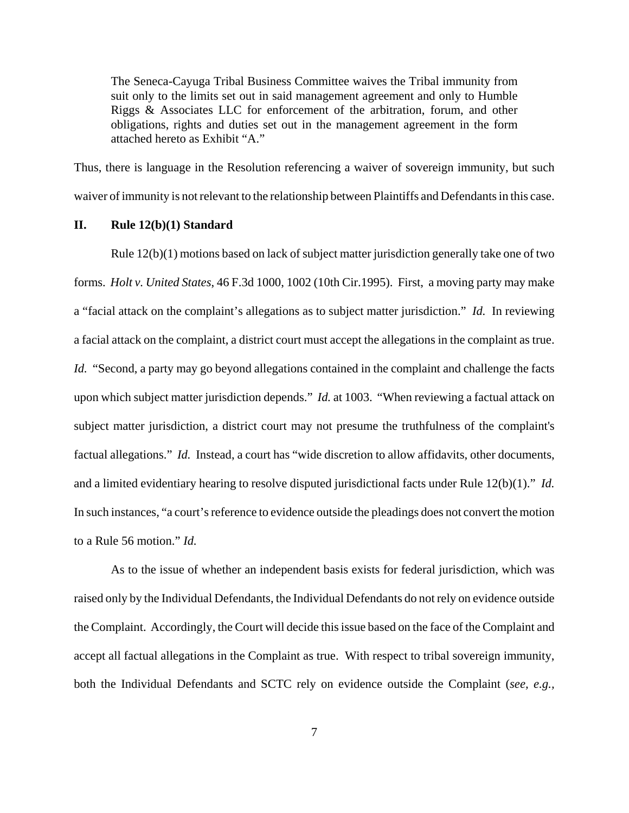The Seneca-Cayuga Tribal Business Committee waives the Tribal immunity from suit only to the limits set out in said management agreement and only to Humble Riggs & Associates LLC for enforcement of the arbitration, forum, and other obligations, rights and duties set out in the management agreement in the form attached hereto as Exhibit "A."

Thus, there is language in the Resolution referencing a waiver of sovereign immunity, but such waiver of immunity is not relevant to the relationship between Plaintiffs and Defendants in this case.

### **II. Rule 12(b)(1) Standard**

Rule 12(b)(1) motions based on lack of subject matter jurisdiction generally take one of two forms. *Holt v. United States*, 46 F.3d 1000, 1002 (10th Cir.1995). First, a moving party may make a "facial attack on the complaint's allegations as to subject matter jurisdiction." *Id.* In reviewing a facial attack on the complaint, a district court must accept the allegations in the complaint as true. *Id.* "Second, a party may go beyond allegations contained in the complaint and challenge the facts upon which subject matter jurisdiction depends." *Id.* at 1003."When reviewing a factual attack on subject matter jurisdiction, a district court may not presume the truthfulness of the complaint's factual allegations." *Id.* Instead, a court has "wide discretion to allow affidavits, other documents, and a limited evidentiary hearing to resolve disputed jurisdictional facts under Rule 12(b)(1)." *Id.* In such instances, "a court's reference to evidence outside the pleadings does not convert the motion to a Rule 56 motion." *Id.* 

As to the issue of whether an independent basis exists for federal jurisdiction, which was raised only by the Individual Defendants, the Individual Defendants do not rely on evidence outside the Complaint. Accordingly, the Court will decide this issue based on the face of the Complaint and accept all factual allegations in the Complaint as true. With respect to tribal sovereign immunity, both the Individual Defendants and SCTC rely on evidence outside the Complaint (*see, e.g.,*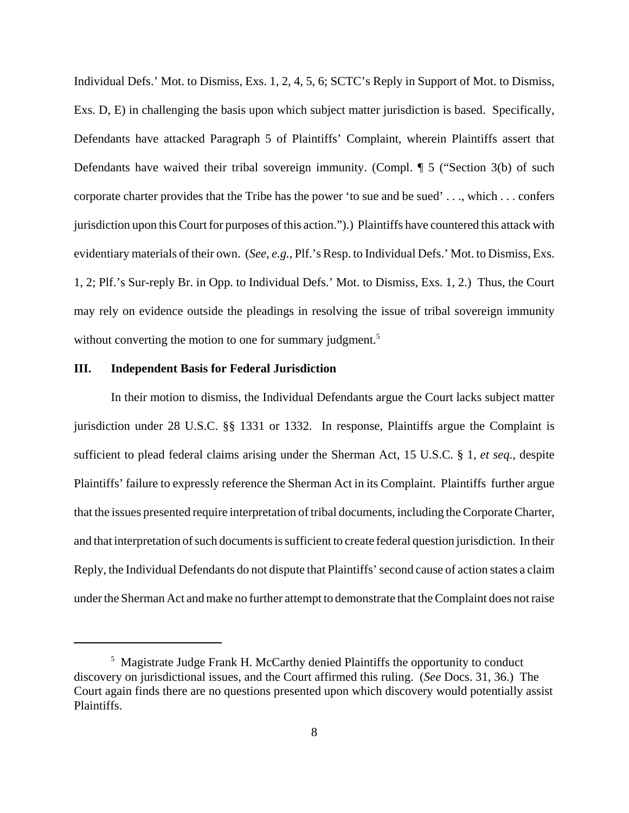Individual Defs.' Mot. to Dismiss, Exs. 1, 2, 4, 5, 6; SCTC's Reply in Support of Mot. to Dismiss, Exs. D, E) in challenging the basis upon which subject matter jurisdiction is based. Specifically, Defendants have attacked Paragraph 5 of Plaintiffs' Complaint, wherein Plaintiffs assert that Defendants have waived their tribal sovereign immunity. (Compl. ¶ 5 ("Section 3(b) of such corporate charter provides that the Tribe has the power 'to sue and be sued' . . ., which . . . confers jurisdiction upon this Court for purposes of this action.").) Plaintiffs have countered this attack with evidentiary materials of their own. (*See, e.g.*, Plf.'s Resp. to Individual Defs.' Mot. to Dismiss, Exs. 1, 2; Plf.'s Sur-reply Br. in Opp. to Individual Defs.' Mot. to Dismiss, Exs. 1, 2.) Thus, the Court may rely on evidence outside the pleadings in resolving the issue of tribal sovereign immunity without converting the motion to one for summary judgment.<sup>5</sup>

### **III. Independent Basis for Federal Jurisdiction**

In their motion to dismiss, the Individual Defendants argue the Court lacks subject matter jurisdiction under 28 U.S.C. §§ 1331 or 1332. In response, Plaintiffs argue the Complaint is sufficient to plead federal claims arising under the Sherman Act, 15 U.S.C. § 1, *et seq*., despite Plaintiffs' failure to expressly reference the Sherman Act in its Complaint. Plaintiffs further argue that the issues presented require interpretation of tribal documents, including the Corporate Charter, and that interpretation of such documents is sufficient to create federal question jurisdiction. In their Reply, the Individual Defendants do not dispute that Plaintiffs' second cause of action states a claim under the Sherman Act and make no further attempt to demonstrate that the Complaint does not raise

<sup>&</sup>lt;sup>5</sup> Magistrate Judge Frank H. McCarthy denied Plaintiffs the opportunity to conduct discovery on jurisdictional issues, and the Court affirmed this ruling. (*See* Docs. 31, 36.) The Court again finds there are no questions presented upon which discovery would potentially assist Plaintiffs.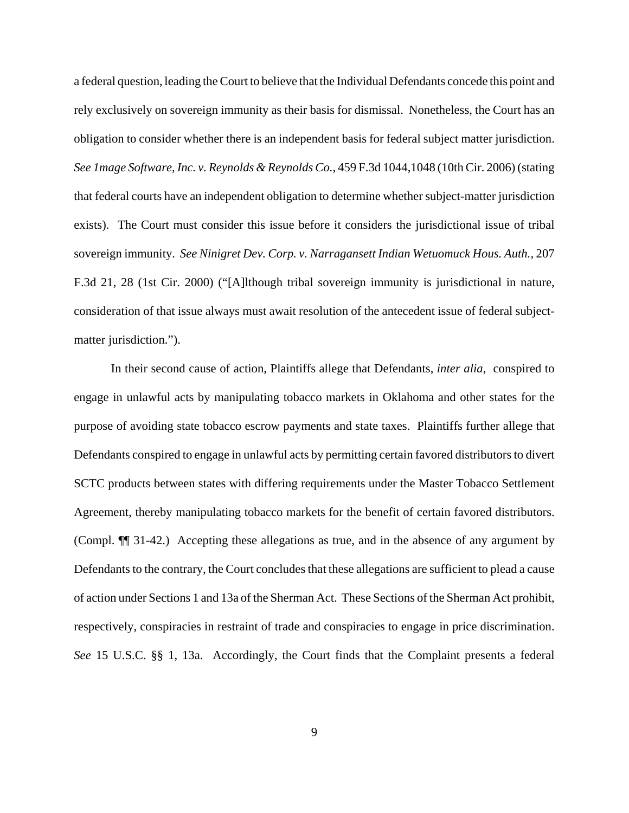a federal question, leading the Court to believe that the Individual Defendants concede this point and rely exclusively on sovereign immunity as their basis for dismissal. Nonetheless, the Court has an obligation to consider whether there is an independent basis for federal subject matter jurisdiction. *See 1mage Software, Inc. v. Reynolds & Reynolds Co.*, 459 F.3d 1044,1048 (10th Cir. 2006) (stating that federal courts have an independent obligation to determine whether subject-matter jurisdiction exists). The Court must consider this issue before it considers the jurisdictional issue of tribal sovereign immunity. *See Ninigret Dev. Corp. v. Narragansett Indian Wetuomuck Hous. Auth.*, 207 F.3d 21, 28 (1st Cir. 2000) ("[A]lthough tribal sovereign immunity is jurisdictional in nature, consideration of that issue always must await resolution of the antecedent issue of federal subjectmatter jurisdiction.").

In their second cause of action, Plaintiffs allege that Defendants, *inter alia*, conspired to engage in unlawful acts by manipulating tobacco markets in Oklahoma and other states for the purpose of avoiding state tobacco escrow payments and state taxes. Plaintiffs further allege that Defendants conspired to engage in unlawful acts by permitting certain favored distributors to divert SCTC products between states with differing requirements under the Master Tobacco Settlement Agreement, thereby manipulating tobacco markets for the benefit of certain favored distributors. (Compl. ¶¶ 31-42.) Accepting these allegations as true, and in the absence of any argument by Defendants to the contrary, the Court concludes that these allegations are sufficient to plead a cause of action under Sections 1 and 13a of the Sherman Act. These Sections of the Sherman Act prohibit, respectively, conspiracies in restraint of trade and conspiracies to engage in price discrimination. *See* 15 U.S.C. §§ 1, 13a. Accordingly, the Court finds that the Complaint presents a federal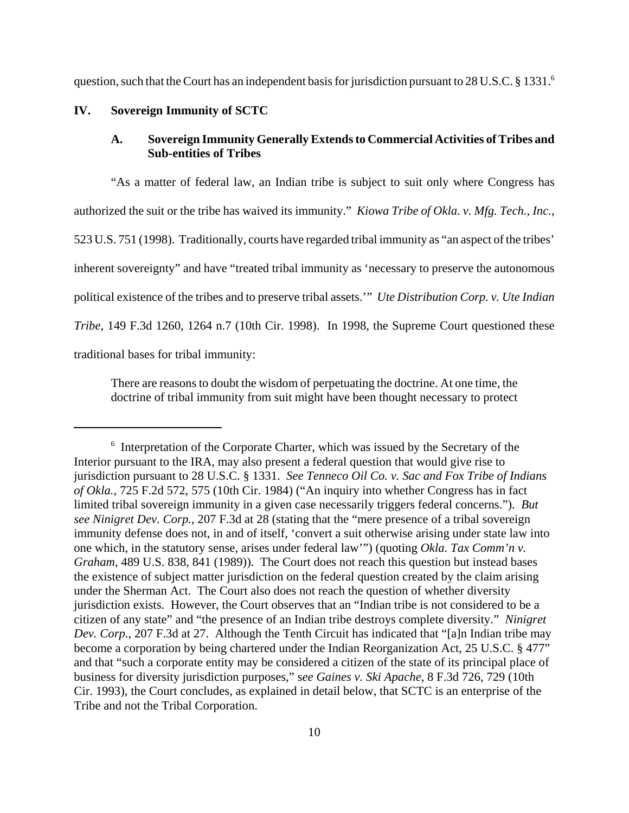question, such that the Court has an independent basis for jurisdiction pursuant to 28 U.S.C. § 1331.<sup>6</sup>

### **IV. Sovereign Immunity of SCTC**

# **A. Sovereign Immunity Generally Extends to Commercial Activities of Tribes and Sub-entities of Tribes**

"As a matter of federal law, an Indian tribe is subject to suit only where Congress has authorized the suit or the tribe has waived its immunity." *Kiowa Tribe of Okla. v. Mfg. Tech., Inc.*, 523 U.S. 751 (1998). Traditionally, courts have regarded tribal immunity as "an aspect of the tribes' inherent sovereignty" and have "treated tribal immunity as 'necessary to preserve the autonomous political existence of the tribes and to preserve tribal assets.'" *Ute Distribution Corp. v. Ute Indian Tribe*, 149 F.3d 1260, 1264 n.7 (10th Cir. 1998). In 1998, the Supreme Court questioned these traditional bases for tribal immunity:

There are reasons to doubt the wisdom of perpetuating the doctrine. At one time, the doctrine of tribal immunity from suit might have been thought necessary to protect

<sup>&</sup>lt;sup>6</sup> Interpretation of the Corporate Charter, which was issued by the Secretary of the Interior pursuant to the IRA, may also present a federal question that would give rise to jurisdiction pursuant to 28 U.S.C. § 1331. *See Tenneco Oil Co. v. Sac and Fox Tribe of Indians of Okla.*, 725 F.2d 572, 575 (10th Cir. 1984) ("An inquiry into whether Congress has in fact limited tribal sovereign immunity in a given case necessarily triggers federal concerns."). *But see Ninigret Dev. Corp.*, 207 F.3d at 28 (stating that the "mere presence of a tribal sovereign immunity defense does not, in and of itself, 'convert a suit otherwise arising under state law into one which, in the statutory sense, arises under federal law'") (quoting *Okla. Tax Comm'n v. Graham*, 489 U.S. 838, 841 (1989)). The Court does not reach this question but instead bases the existence of subject matter jurisdiction on the federal question created by the claim arising under the Sherman Act. The Court also does not reach the question of whether diversity jurisdiction exists. However, the Court observes that an "Indian tribe is not considered to be a citizen of any state" and "the presence of an Indian tribe destroys complete diversity." *Ninigret Dev. Corp.*, 207 F.3d at 27. Although the Tenth Circuit has indicated that "[a]n Indian tribe may become a corporation by being chartered under the Indian Reorganization Act, 25 U.S.C. § 477" and that "such a corporate entity may be considered a citizen of the state of its principal place of business for diversity jurisdiction purposes," s*ee Gaines v. Ski Apache*, 8 F.3d 726, 729 (10th Cir. 1993), the Court concludes, as explained in detail below, that SCTC is an enterprise of the Tribe and not the Tribal Corporation.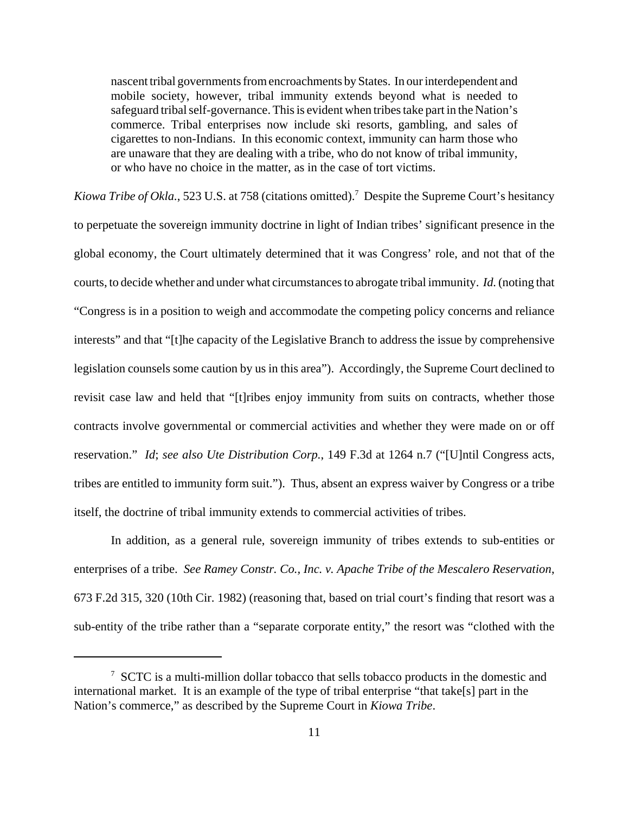nascent tribal governments from encroachments by States. In our interdependent and mobile society, however, tribal immunity extends beyond what is needed to safeguard tribal self-governance. This is evident when tribes take part in the Nation's commerce. Tribal enterprises now include ski resorts, gambling, and sales of cigarettes to non-Indians. In this economic context, immunity can harm those who are unaware that they are dealing with a tribe, who do not know of tribal immunity, or who have no choice in the matter, as in the case of tort victims.

Kiowa Tribe of Okla., 523 U.S. at 758 (citations omitted).<sup>7</sup> Despite the Supreme Court's hesitancy to perpetuate the sovereign immunity doctrine in light of Indian tribes' significant presence in the global economy, the Court ultimately determined that it was Congress' role, and not that of the courts, to decide whether and under what circumstances to abrogate tribal immunity. *Id.* (noting that "Congress is in a position to weigh and accommodate the competing policy concerns and reliance interests" and that "[t]he capacity of the Legislative Branch to address the issue by comprehensive legislation counsels some caution by us in this area"). Accordingly, the Supreme Court declined to revisit case law and held that "[t]ribes enjoy immunity from suits on contracts, whether those contracts involve governmental or commercial activities and whether they were made on or off reservation." *Id*; *see also Ute Distribution Corp.*, 149 F.3d at 1264 n.7 ("[U]ntil Congress acts, tribes are entitled to immunity form suit."). Thus, absent an express waiver by Congress or a tribe itself, the doctrine of tribal immunity extends to commercial activities of tribes.

In addition, as a general rule, sovereign immunity of tribes extends to sub-entities or enterprises of a tribe. *See Ramey Constr. Co., Inc. v. Apache Tribe of the Mescalero Reservation*, 673 F.2d 315, 320 (10th Cir. 1982) (reasoning that, based on trial court's finding that resort was a sub-entity of the tribe rather than a "separate corporate entity," the resort was "clothed with the

<sup>&</sup>lt;sup>7</sup> SCTC is a multi-million dollar tobacco that sells tobacco products in the domestic and international market. It is an example of the type of tribal enterprise "that take[s] part in the Nation's commerce," as described by the Supreme Court in *Kiowa Tribe*.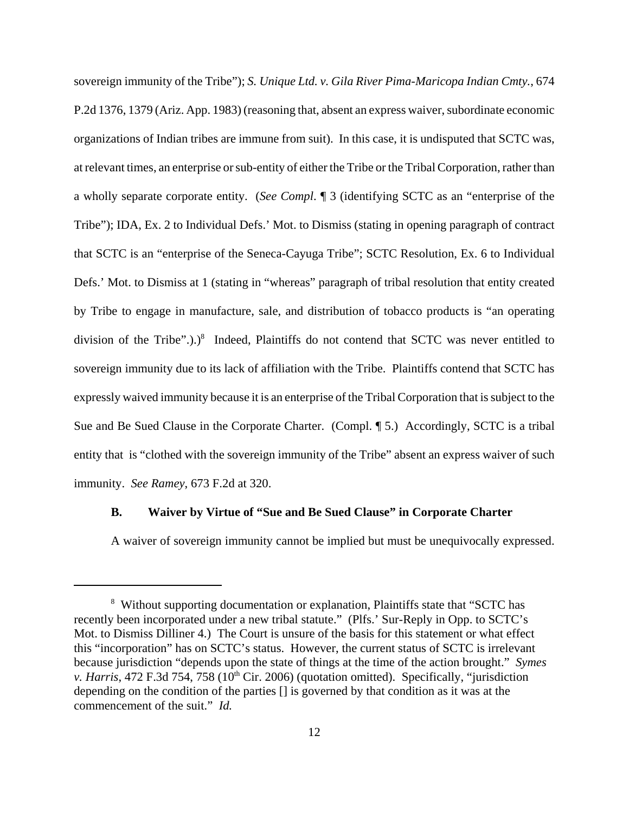sovereign immunity of the Tribe"); *S. Unique Ltd. v. Gila River Pima-Maricopa Indian Cmty.*, 674 P.2d 1376, 1379 (Ariz. App. 1983) (reasoning that, absent an express waiver, subordinate economic organizations of Indian tribes are immune from suit). In this case, it is undisputed that SCTC was, at relevant times, an enterprise or sub-entity of either the Tribe or the Tribal Corporation, rather than a wholly separate corporate entity. (*See Compl*. ¶ 3 (identifying SCTC as an "enterprise of the Tribe"); IDA, Ex. 2 to Individual Defs.' Mot. to Dismiss (stating in opening paragraph of contract that SCTC is an "enterprise of the Seneca-Cayuga Tribe"; SCTC Resolution, Ex. 6 to Individual Defs.' Mot. to Dismiss at 1 (stating in "whereas" paragraph of tribal resolution that entity created by Tribe to engage in manufacture, sale, and distribution of tobacco products is "an operating division of the Tribe".).) $8$  Indeed, Plaintiffs do not contend that SCTC was never entitled to sovereign immunity due to its lack of affiliation with the Tribe. Plaintiffs contend that SCTC has expressly waived immunity because it is an enterprise of the Tribal Corporation that is subject to the Sue and Be Sued Clause in the Corporate Charter. (Compl. ¶ 5.) Accordingly, SCTC is a tribal entity that is "clothed with the sovereign immunity of the Tribe" absent an express waiver of such immunity. *See Ramey*, 673 F.2d at 320.

### **B. Waiver by Virtue of "Sue and Be Sued Clause" in Corporate Charter**

A waiver of sovereign immunity cannot be implied but must be unequivocally expressed.

<sup>&</sup>lt;sup>8</sup> Without supporting documentation or explanation, Plaintiffs state that "SCTC has recently been incorporated under a new tribal statute." (Plfs.' Sur-Reply in Opp. to SCTC's Mot. to Dismiss Dilliner 4.) The Court is unsure of the basis for this statement or what effect this "incorporation" has on SCTC's status. However, the current status of SCTC is irrelevant because jurisdiction "depends upon the state of things at the time of the action brought." *Symes v. Harris*, 472 F.3d 754, 758 (10<sup>th</sup> Cir. 2006) (quotation omitted). Specifically, "jurisdiction depending on the condition of the parties [] is governed by that condition as it was at the commencement of the suit." *Id.*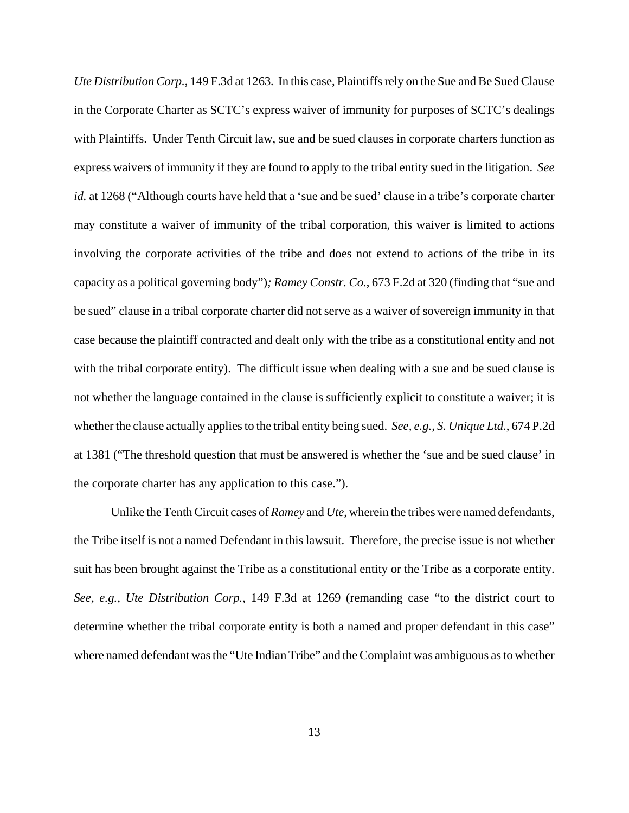*Ute Distribution Corp.*, 149 F.3d at 1263*.* In this case, Plaintiffs rely on the Sue and Be Sued Clause in the Corporate Charter as SCTC's express waiver of immunity for purposes of SCTC's dealings with Plaintiffs. Under Tenth Circuit law, sue and be sued clauses in corporate charters function as express waivers of immunity if they are found to apply to the tribal entity sued in the litigation. *See id.* at 1268 ("Although courts have held that a 'sue and be sued' clause in a tribe's corporate charter may constitute a waiver of immunity of the tribal corporation, this waiver is limited to actions involving the corporate activities of the tribe and does not extend to actions of the tribe in its capacity as a political governing body")*; Ramey Constr. Co.*, 673 F.2d at 320 (finding that "sue and be sued" clause in a tribal corporate charter did not serve as a waiver of sovereign immunity in that case because the plaintiff contracted and dealt only with the tribe as a constitutional entity and not with the tribal corporate entity). The difficult issue when dealing with a sue and be sued clause is not whether the language contained in the clause is sufficiently explicit to constitute a waiver; it is whether the clause actually applies to the tribal entity being sued. *See, e.g., S. Unique Ltd.*, 674 P.2d at 1381 ("The threshold question that must be answered is whether the 'sue and be sued clause' in the corporate charter has any application to this case.").

Unlike the Tenth Circuit cases of *Ramey* and *Ute*, wherein the tribes were named defendants, the Tribe itself is not a named Defendant in this lawsuit. Therefore, the precise issue is not whether suit has been brought against the Tribe as a constitutional entity or the Tribe as a corporate entity. *See, e.g., Ute Distribution Corp.*, 149 F.3d at 1269 (remanding case "to the district court to determine whether the tribal corporate entity is both a named and proper defendant in this case" where named defendant was the "Ute Indian Tribe" and the Complaint was ambiguous as to whether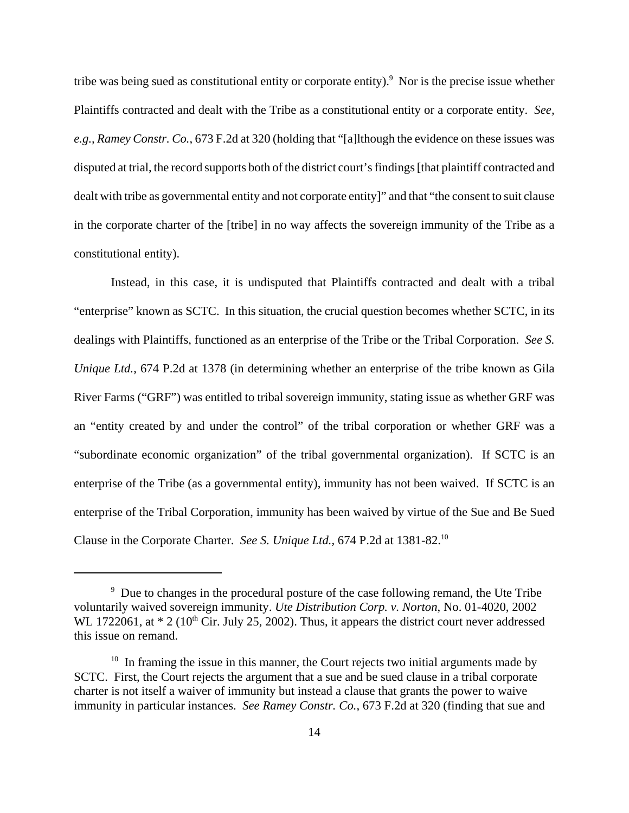tribe was being sued as constitutional entity or corporate entity). $9$  Nor is the precise issue whether Plaintiffs contracted and dealt with the Tribe as a constitutional entity or a corporate entity. *See, e.g., Ramey Constr. Co.*, 673 F.2d at 320 (holding that "[a]lthough the evidence on these issues was disputed at trial, the record supports both of the district court's findings [that plaintiff contracted and dealt with tribe as governmental entity and not corporate entity]" and that "the consent to suit clause in the corporate charter of the [tribe] in no way affects the sovereign immunity of the Tribe as a constitutional entity).

Instead, in this case, it is undisputed that Plaintiffs contracted and dealt with a tribal "enterprise" known as SCTC. In this situation, the crucial question becomes whether SCTC, in its dealings with Plaintiffs, functioned as an enterprise of the Tribe or the Tribal Corporation. *See S. Unique Ltd.*, 674 P.2d at 1378 (in determining whether an enterprise of the tribe known as Gila River Farms ("GRF") was entitled to tribal sovereign immunity, stating issue as whether GRF was an "entity created by and under the control" of the tribal corporation or whether GRF was a "subordinate economic organization" of the tribal governmental organization). If SCTC is an enterprise of the Tribe (as a governmental entity), immunity has not been waived. If SCTC is an enterprise of the Tribal Corporation, immunity has been waived by virtue of the Sue and Be Sued Clause in the Corporate Charter. *See S. Unique Ltd.,* 674 P.2d at 1381-82.10

<sup>&</sup>lt;sup>9</sup> Due to changes in the procedural posture of the case following remand, the Ute Tribe voluntarily waived sovereign immunity. *Ute Distribution Corp. v. Norton*, No. 01-4020, 2002 WL 1722061, at  $*$  2 (10<sup>th</sup> Cir. July 25, 2002). Thus, it appears the district court never addressed this issue on remand.

 $10$  In framing the issue in this manner, the Court rejects two initial arguments made by SCTC. First, the Court rejects the argument that a sue and be sued clause in a tribal corporate charter is not itself a waiver of immunity but instead a clause that grants the power to waive immunity in particular instances. *See Ramey Constr. Co.*, 673 F.2d at 320 (finding that sue and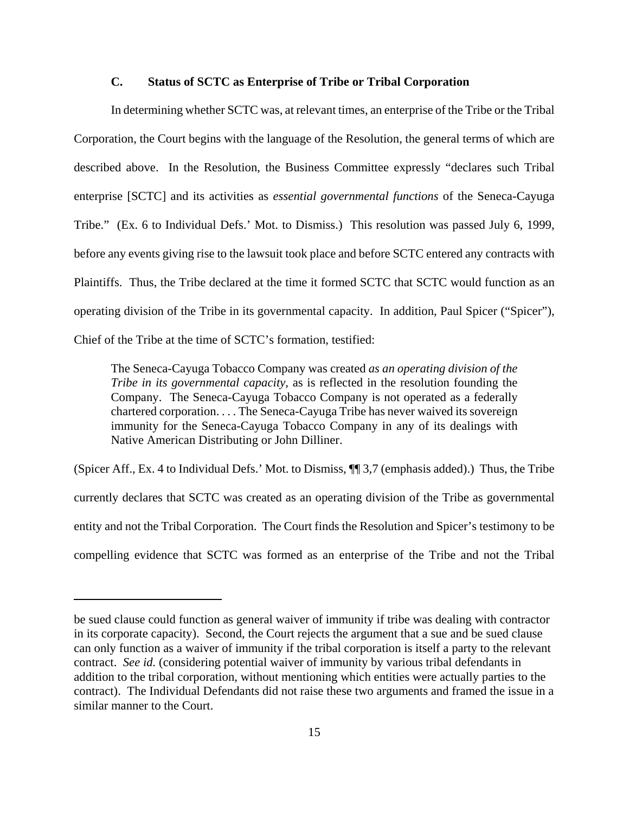# **C. Status of SCTC as Enterprise of Tribe or Tribal Corporation**

In determining whether SCTC was, at relevant times, an enterprise of the Tribe or the Tribal Corporation, the Court begins with the language of the Resolution, the general terms of which are described above. In the Resolution, the Business Committee expressly "declares such Tribal enterprise [SCTC] and its activities as *essential governmental functions* of the Seneca-Cayuga Tribe." (Ex. 6 to Individual Defs.' Mot. to Dismiss.) This resolution was passed July 6, 1999, before any events giving rise to the lawsuit took place and before SCTC entered any contracts with Plaintiffs. Thus, the Tribe declared at the time it formed SCTC that SCTC would function as an operating division of the Tribe in its governmental capacity. In addition, Paul Spicer ("Spicer"), Chief of the Tribe at the time of SCTC's formation, testified:

The Seneca-Cayuga Tobacco Company was created *as an operating division of the Tribe in its governmental capacity*, as is reflected in the resolution founding the Company. The Seneca-Cayuga Tobacco Company is not operated as a federally chartered corporation. . . . The Seneca-Cayuga Tribe has never waived its sovereign immunity for the Seneca-Cayuga Tobacco Company in any of its dealings with Native American Distributing or John Dilliner.

(Spicer Aff., Ex. 4 to Individual Defs.' Mot. to Dismiss, ¶¶ 3,7 (emphasis added).) Thus, the Tribe currently declares that SCTC was created as an operating division of the Tribe as governmental entity and not the Tribal Corporation. The Court finds the Resolution and Spicer's testimony to be compelling evidence that SCTC was formed as an enterprise of the Tribe and not the Tribal

be sued clause could function as general waiver of immunity if tribe was dealing with contractor in its corporate capacity). Second, the Court rejects the argument that a sue and be sued clause can only function as a waiver of immunity if the tribal corporation is itself a party to the relevant contract. *See id.* (considering potential waiver of immunity by various tribal defendants in addition to the tribal corporation, without mentioning which entities were actually parties to the contract). The Individual Defendants did not raise these two arguments and framed the issue in a similar manner to the Court.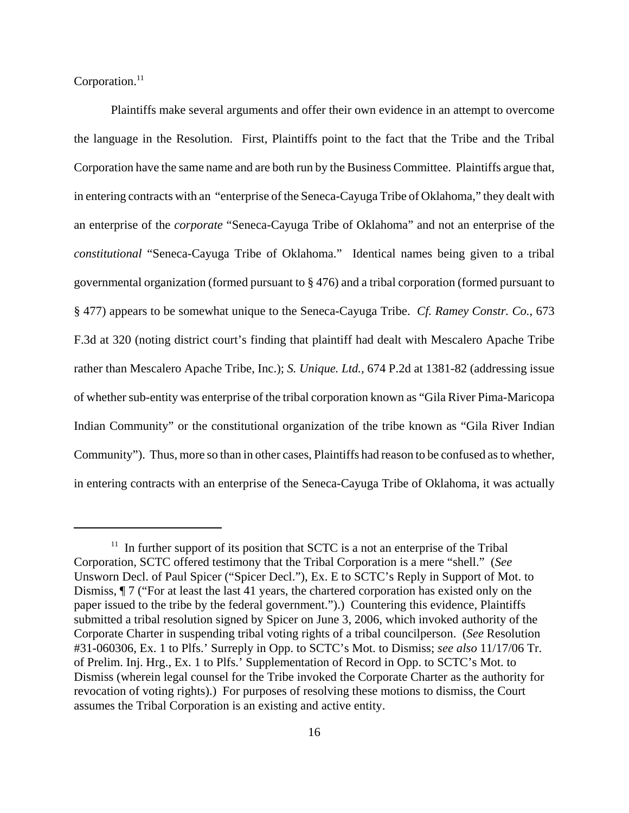Corporation. $11$ 

Plaintiffs make several arguments and offer their own evidence in an attempt to overcome the language in the Resolution. First, Plaintiffs point to the fact that the Tribe and the Tribal Corporation have the same name and are both run by the Business Committee. Plaintiffs argue that, in entering contracts with an "enterprise of the Seneca-Cayuga Tribe of Oklahoma," they dealt with an enterprise of the *corporate* "Seneca-Cayuga Tribe of Oklahoma" and not an enterprise of the *constitutional* "Seneca-Cayuga Tribe of Oklahoma." Identical names being given to a tribal governmental organization (formed pursuant to § 476) and a tribal corporation (formed pursuant to § 477) appears to be somewhat unique to the Seneca-Cayuga Tribe. *Cf. Ramey Constr. Co.*, 673 F.3d at 320 (noting district court's finding that plaintiff had dealt with Mescalero Apache Tribe rather than Mescalero Apache Tribe, Inc.); *S. Unique. Ltd.,* 674 P.2d at 1381-82 (addressing issue of whether sub-entity was enterprise of the tribal corporation known as "Gila River Pima-Maricopa Indian Community" or the constitutional organization of the tribe known as "Gila River Indian Community"). Thus, more so than in other cases, Plaintiffs had reason to be confused as to whether, in entering contracts with an enterprise of the Seneca-Cayuga Tribe of Oklahoma, it was actually

 $11$  In further support of its position that SCTC is a not an enterprise of the Tribal Corporation, SCTC offered testimony that the Tribal Corporation is a mere "shell." (*See* Unsworn Decl. of Paul Spicer ("Spicer Decl."), Ex. E to SCTC's Reply in Support of Mot. to Dismiss, ¶ 7 ("For at least the last 41 years, the chartered corporation has existed only on the paper issued to the tribe by the federal government.").) Countering this evidence, Plaintiffs submitted a tribal resolution signed by Spicer on June 3, 2006, which invoked authority of the Corporate Charter in suspending tribal voting rights of a tribal councilperson. (*See* Resolution #31-060306, Ex. 1 to Plfs.' Surreply in Opp. to SCTC's Mot. to Dismiss; *see also* 11/17/06 Tr. of Prelim. Inj. Hrg., Ex. 1 to Plfs.' Supplementation of Record in Opp. to SCTC's Mot. to Dismiss (wherein legal counsel for the Tribe invoked the Corporate Charter as the authority for revocation of voting rights).) For purposes of resolving these motions to dismiss, the Court assumes the Tribal Corporation is an existing and active entity.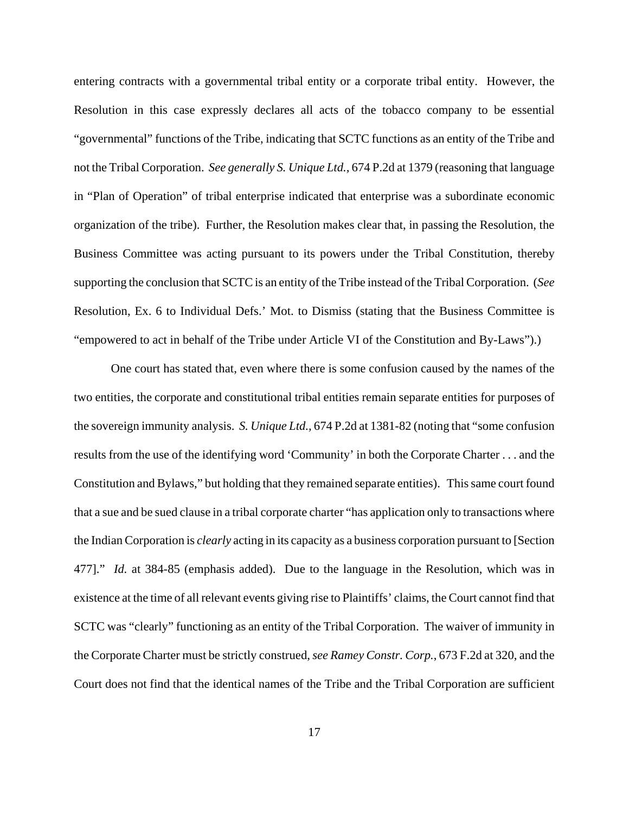entering contracts with a governmental tribal entity or a corporate tribal entity. However, the Resolution in this case expressly declares all acts of the tobacco company to be essential "governmental" functions of the Tribe, indicating that SCTC functions as an entity of the Tribe and not the Tribal Corporation. *See generally S. Unique Ltd.,* 674 P.2d at 1379 (reasoning that language in "Plan of Operation" of tribal enterprise indicated that enterprise was a subordinate economic organization of the tribe). Further, the Resolution makes clear that, in passing the Resolution, the Business Committee was acting pursuant to its powers under the Tribal Constitution, thereby supporting the conclusion that SCTC is an entity of the Tribe instead of the Tribal Corporation. (*See* Resolution, Ex. 6 to Individual Defs.' Mot. to Dismiss (stating that the Business Committee is "empowered to act in behalf of the Tribe under Article VI of the Constitution and By-Laws").)

One court has stated that, even where there is some confusion caused by the names of the two entities, the corporate and constitutional tribal entities remain separate entities for purposes of the sovereign immunity analysis. *S. Unique Ltd.,* 674 P.2d at 1381-82 (noting that "some confusion results from the use of the identifying word 'Community' in both the Corporate Charter . . . and the Constitution and Bylaws," but holding that they remained separate entities). This same court found that a sue and be sued clause in a tribal corporate charter "has application only to transactions where the Indian Corporation is *clearly* acting in its capacity as a business corporation pursuant to [Section 477]." *Id.* at 384-85 (emphasis added). Due to the language in the Resolution, which was in existence at the time of all relevant events giving rise to Plaintiffs' claims, the Court cannot find that SCTC was "clearly" functioning as an entity of the Tribal Corporation. The waiver of immunity in the Corporate Charter must be strictly construed, *see Ramey Constr. Corp.*, 673 F.2d at 320, and the Court does not find that the identical names of the Tribe and the Tribal Corporation are sufficient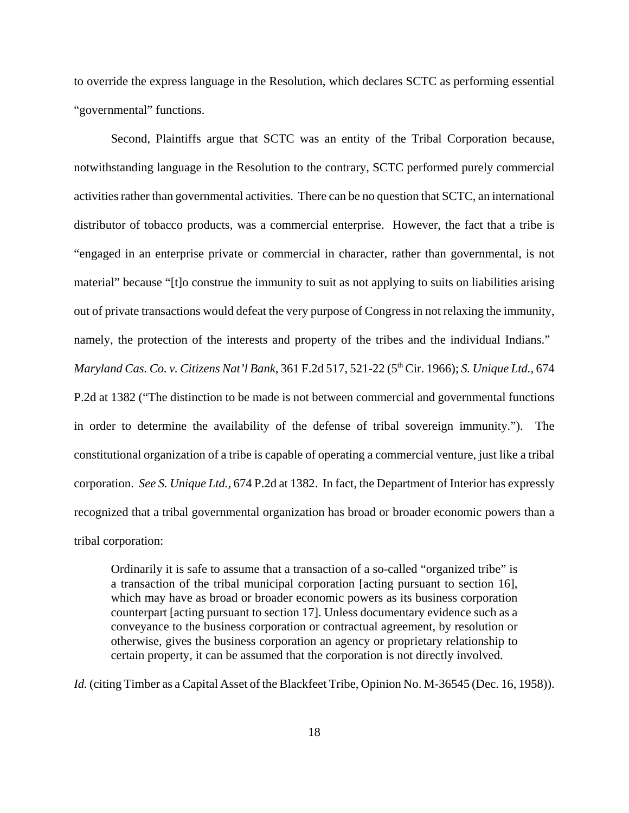to override the express language in the Resolution, which declares SCTC as performing essential "governmental" functions.

Second, Plaintiffs argue that SCTC was an entity of the Tribal Corporation because, notwithstanding language in the Resolution to the contrary, SCTC performed purely commercial activities rather than governmental activities. There can be no question that SCTC, an international distributor of tobacco products, was a commercial enterprise. However, the fact that a tribe is "engaged in an enterprise private or commercial in character, rather than governmental, is not material" because "[t]o construe the immunity to suit as not applying to suits on liabilities arising out of private transactions would defeat the very purpose of Congress in not relaxing the immunity, namely, the protection of the interests and property of the tribes and the individual Indians."

*Maryland Cas. Co. v. Citizens Nat'l Bank*, 361 F.2d 517, 521-22 (5th Cir. 1966); *S. Unique Ltd.,* 674 P.2d at 1382 ("The distinction to be made is not between commercial and governmental functions in order to determine the availability of the defense of tribal sovereign immunity."). The constitutional organization of a tribe is capable of operating a commercial venture, just like a tribal corporation. *See S. Unique Ltd.,* 674 P.2d at 1382. In fact, the Department of Interior has expressly recognized that a tribal governmental organization has broad or broader economic powers than a tribal corporation:

Ordinarily it is safe to assume that a transaction of a so-called "organized tribe" is a transaction of the tribal municipal corporation [acting pursuant to section 16], which may have as broad or broader economic powers as its business corporation counterpart [acting pursuant to section 17]. Unless documentary evidence such as a conveyance to the business corporation or contractual agreement, by resolution or otherwise, gives the business corporation an agency or proprietary relationship to certain property, it can be assumed that the corporation is not directly involved.

*Id.* (citing Timber as a Capital Asset of the Blackfeet Tribe, Opinion No. M-36545 (Dec. 16, 1958)).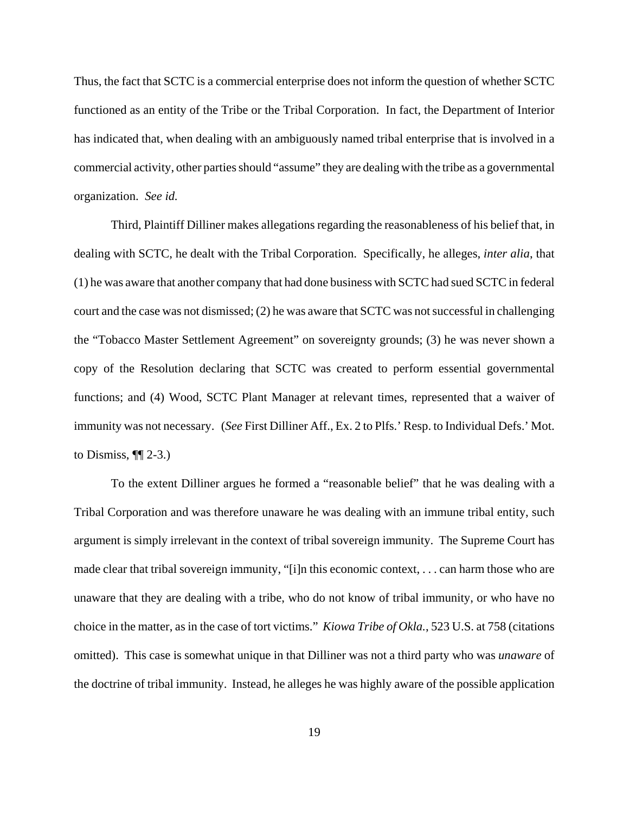Thus, the fact that SCTC is a commercial enterprise does not inform the question of whether SCTC functioned as an entity of the Tribe or the Tribal Corporation. In fact, the Department of Interior has indicated that, when dealing with an ambiguously named tribal enterprise that is involved in a commercial activity, other parties should "assume" they are dealing with the tribe as a governmental organization. *See id.*

Third, Plaintiff Dilliner makes allegations regarding the reasonableness of his belief that, in dealing with SCTC, he dealt with the Tribal Corporation. Specifically, he alleges, *inter alia*, that (1) he was aware that another company that had done business with SCTC had sued SCTC in federal court and the case was not dismissed; (2) he was aware that SCTC was not successful in challenging the "Tobacco Master Settlement Agreement" on sovereignty grounds; (3) he was never shown a copy of the Resolution declaring that SCTC was created to perform essential governmental functions; and (4) Wood, SCTC Plant Manager at relevant times, represented that a waiver of immunity was not necessary. (*See* First Dilliner Aff., Ex. 2 to Plfs.' Resp. to Individual Defs.' Mot. to Dismiss,  $\P\P$  2-3.)

To the extent Dilliner argues he formed a "reasonable belief" that he was dealing with a Tribal Corporation and was therefore unaware he was dealing with an immune tribal entity, such argument is simply irrelevant in the context of tribal sovereign immunity. The Supreme Court has made clear that tribal sovereign immunity, "[i]n this economic context, . . . can harm those who are unaware that they are dealing with a tribe, who do not know of tribal immunity, or who have no choice in the matter, as in the case of tort victims." *Kiowa Tribe of Okla.*, 523 U.S. at 758 (citations omitted). This case is somewhat unique in that Dilliner was not a third party who was *unaware* of the doctrine of tribal immunity. Instead, he alleges he was highly aware of the possible application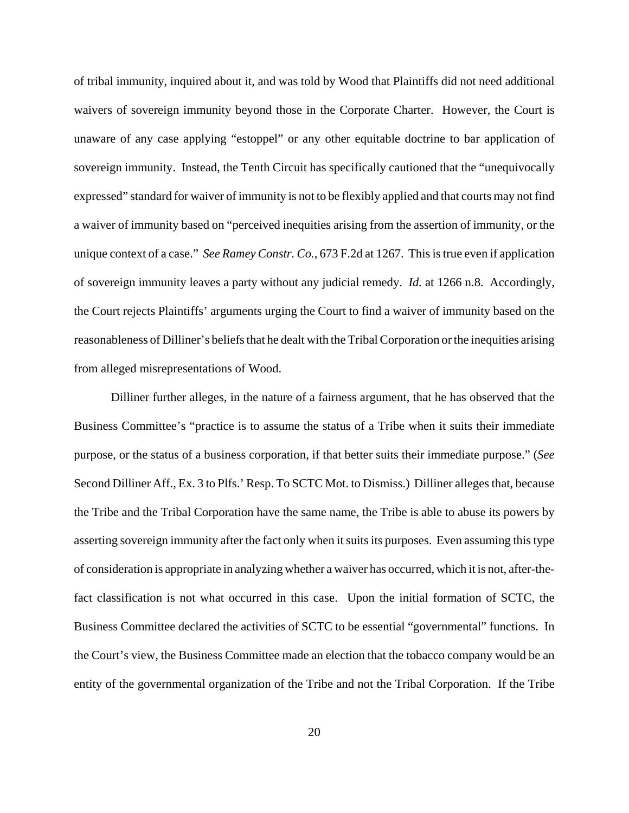of tribal immunity, inquired about it, and was told by Wood that Plaintiffs did not need additional waivers of sovereign immunity beyond those in the Corporate Charter. However, the Court is unaware of any case applying "estoppel" or any other equitable doctrine to bar application of sovereign immunity. Instead, the Tenth Circuit has specifically cautioned that the "unequivocally expressed" standard for waiver of immunity is not to be flexibly applied and that courts may not find a waiver of immunity based on "perceived inequities arising from the assertion of immunity, or the unique context of a case." *See Ramey Constr. Co.*, 673 F.2d at 1267. This is true even if application of sovereign immunity leaves a party without any judicial remedy. *Id.* at 1266 n.8. Accordingly, the Court rejects Plaintiffs' arguments urging the Court to find a waiver of immunity based on the reasonableness of Dilliner's beliefs that he dealt with the Tribal Corporation or the inequities arising from alleged misrepresentations of Wood.

Dilliner further alleges, in the nature of a fairness argument, that he has observed that the Business Committee's "practice is to assume the status of a Tribe when it suits their immediate purpose, or the status of a business corporation, if that better suits their immediate purpose." (*See* Second Dilliner Aff., Ex. 3 to Plfs.' Resp. To SCTC Mot. to Dismiss.) Dilliner alleges that, because the Tribe and the Tribal Corporation have the same name, the Tribe is able to abuse its powers by asserting sovereign immunity after the fact only when it suits its purposes. Even assuming this type of consideration is appropriate in analyzing whether a waiver has occurred, which it is not, after-thefact classification is not what occurred in this case. Upon the initial formation of SCTC, the Business Committee declared the activities of SCTC to be essential "governmental" functions. In the Court's view, the Business Committee made an election that the tobacco company would be an entity of the governmental organization of the Tribe and not the Tribal Corporation. If the Tribe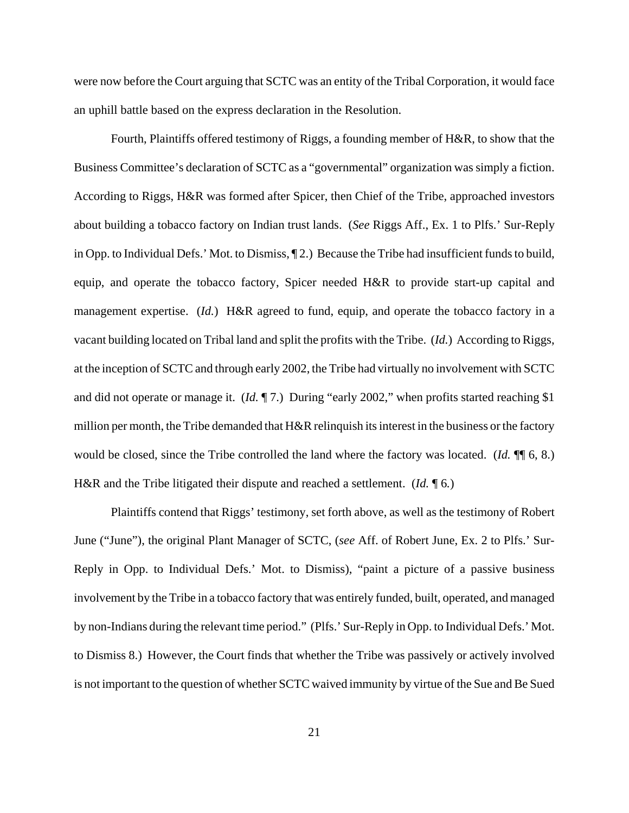were now before the Court arguing that SCTC was an entity of the Tribal Corporation, it would face an uphill battle based on the express declaration in the Resolution.

Fourth, Plaintiffs offered testimony of Riggs, a founding member of H&R, to show that the Business Committee's declaration of SCTC as a "governmental" organization was simply a fiction. According to Riggs, H&R was formed after Spicer, then Chief of the Tribe, approached investors about building a tobacco factory on Indian trust lands. (*See* Riggs Aff., Ex. 1 to Plfs.' Sur-Reply in Opp. to Individual Defs.' Mot. to Dismiss, ¶ 2.) Because the Tribe had insufficient funds to build, equip, and operate the tobacco factory, Spicer needed H&R to provide start-up capital and management expertise. (*Id.*) H&R agreed to fund, equip, and operate the tobacco factory in a vacant building located on Tribal land and split the profits with the Tribe. (*Id.*) According to Riggs, at the inception of SCTC and through early 2002, the Tribe had virtually no involvement with SCTC and did not operate or manage it. (*Id.* ¶ 7.) During "early 2002," when profits started reaching \$1 million per month, the Tribe demanded that  $H\&R$  relinquish its interest in the business or the factory would be closed, since the Tribe controlled the land where the factory was located. (*Id.* ¶¶ 6, 8.) H&R and the Tribe litigated their dispute and reached a settlement. (*Id.* ¶ 6*.*)

Plaintiffs contend that Riggs' testimony, set forth above, as well as the testimony of Robert June ("June"), the original Plant Manager of SCTC, (*see* Aff. of Robert June, Ex. 2 to Plfs.' Sur-Reply in Opp. to Individual Defs.' Mot. to Dismiss), "paint a picture of a passive business involvement by the Tribe in a tobacco factory that was entirely funded, built, operated, and managed by non-Indians during the relevant time period." (Plfs.' Sur-Reply in Opp. to Individual Defs.' Mot. to Dismiss 8.) However, the Court finds that whether the Tribe was passively or actively involved is not important to the question of whether SCTC waived immunity by virtue of the Sue and Be Sued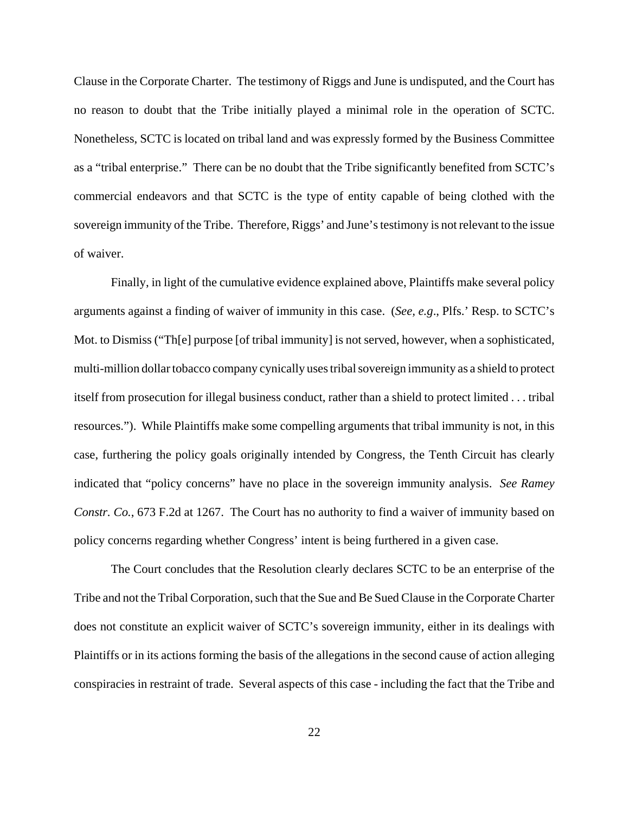Clause in the Corporate Charter. The testimony of Riggs and June is undisputed, and the Court has no reason to doubt that the Tribe initially played a minimal role in the operation of SCTC. Nonetheless, SCTC is located on tribal land and was expressly formed by the Business Committee as a "tribal enterprise." There can be no doubt that the Tribe significantly benefited from SCTC's commercial endeavors and that SCTC is the type of entity capable of being clothed with the sovereign immunity of the Tribe. Therefore, Riggs' and June's testimony is not relevant to the issue of waiver.

Finally, in light of the cumulative evidence explained above, Plaintiffs make several policy arguments against a finding of waiver of immunity in this case. (*See, e.g*., Plfs.' Resp. to SCTC's Mot. to Dismiss ("The purpose [of tribal immunity] is not served, however, when a sophisticated, multi-million dollar tobacco company cynically uses tribal sovereign immunity as a shield to protect itself from prosecution for illegal business conduct, rather than a shield to protect limited . . . tribal resources."). While Plaintiffs make some compelling arguments that tribal immunity is not, in this case, furthering the policy goals originally intended by Congress, the Tenth Circuit has clearly indicated that "policy concerns" have no place in the sovereign immunity analysis. *See Ramey Constr. Co.*, 673 F.2d at 1267. The Court has no authority to find a waiver of immunity based on policy concerns regarding whether Congress' intent is being furthered in a given case.

The Court concludes that the Resolution clearly declares SCTC to be an enterprise of the Tribe and not the Tribal Corporation, such that the Sue and Be Sued Clause in the Corporate Charter does not constitute an explicit waiver of SCTC's sovereign immunity, either in its dealings with Plaintiffs or in its actions forming the basis of the allegations in the second cause of action alleging conspiracies in restraint of trade. Several aspects of this case - including the fact that the Tribe and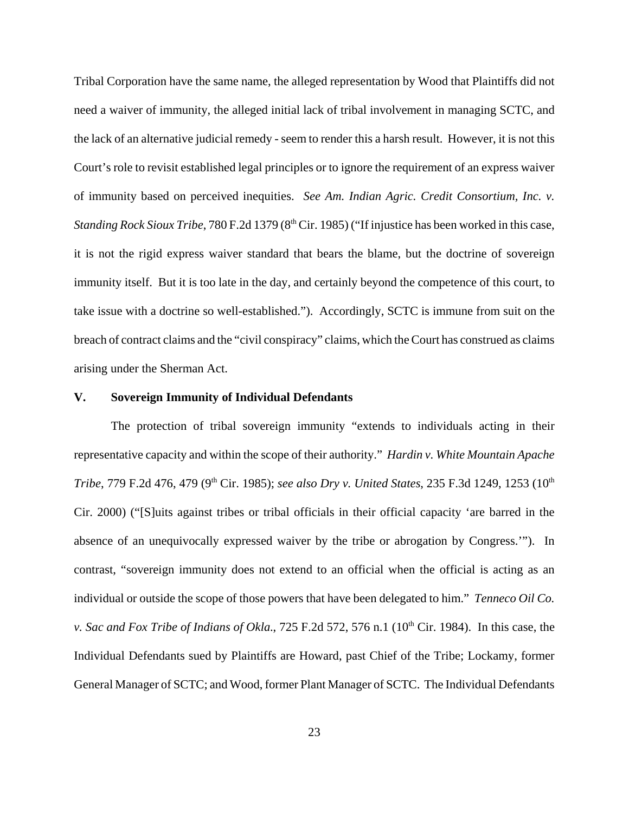Tribal Corporation have the same name, the alleged representation by Wood that Plaintiffs did not need a waiver of immunity, the alleged initial lack of tribal involvement in managing SCTC, and the lack of an alternative judicial remedy - seem to render this a harsh result. However, it is not this Court's role to revisit established legal principles or to ignore the requirement of an express waiver of immunity based on perceived inequities. *See Am. Indian Agric. Credit Consortium, Inc. v. Standing Rock Sioux Tribe*, 780 F.2d 1379 (8<sup>th</sup> Cir. 1985) ("If injustice has been worked in this case, it is not the rigid express waiver standard that bears the blame, but the doctrine of sovereign immunity itself. But it is too late in the day, and certainly beyond the competence of this court, to take issue with a doctrine so well-established."). Accordingly, SCTC is immune from suit on the breach of contract claims and the "civil conspiracy" claims, which the Court has construed as claims arising under the Sherman Act.

# **V. Sovereign Immunity of Individual Defendants**

The protection of tribal sovereign immunity "extends to individuals acting in their representative capacity and within the scope of their authority." *Hardin v. White Mountain Apache Tribe*, 779 F.2d 476, 479 (9<sup>th</sup> Cir. 1985); *see also Dry v. United States*, 235 F.3d 1249, 1253 (10<sup>th</sup> Cir. 2000) ("[S]uits against tribes or tribal officials in their official capacity 'are barred in the absence of an unequivocally expressed waiver by the tribe or abrogation by Congress.'"). In contrast, "sovereign immunity does not extend to an official when the official is acting as an individual or outside the scope of those powers that have been delegated to him." *Tenneco Oil Co. v. Sac and Fox Tribe of Indians of Okla.*, 725 F.2d 572, 576 n.1 ( $10<sup>th</sup>$  Cir. 1984). In this case, the Individual Defendants sued by Plaintiffs are Howard, past Chief of the Tribe; Lockamy, former General Manager of SCTC; and Wood, former Plant Manager of SCTC. The Individual Defendants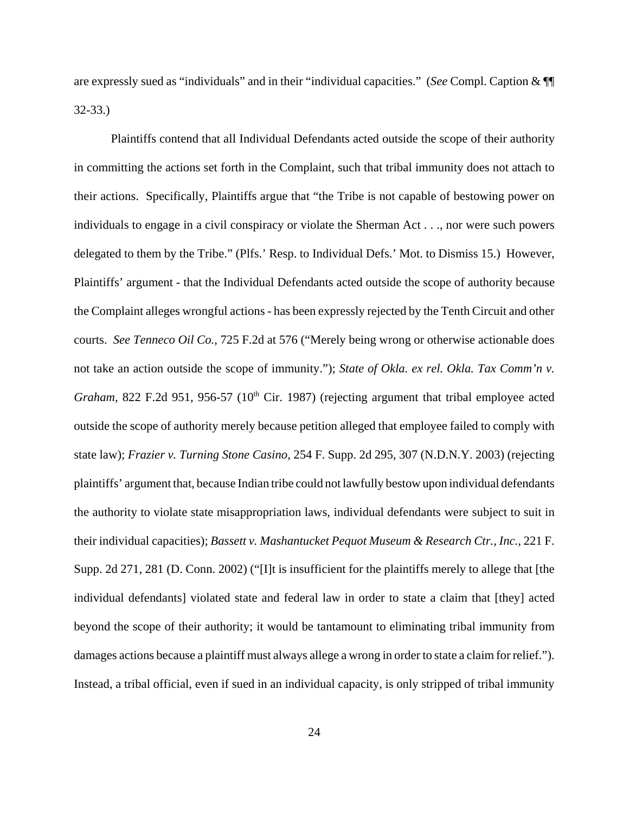are expressly sued as "individuals" and in their "individual capacities." (*See* Compl. Caption & ¶¶ 32-33.)

Plaintiffs contend that all Individual Defendants acted outside the scope of their authority in committing the actions set forth in the Complaint, such that tribal immunity does not attach to their actions. Specifically, Plaintiffs argue that "the Tribe is not capable of bestowing power on individuals to engage in a civil conspiracy or violate the Sherman Act . . ., nor were such powers delegated to them by the Tribe." (Plfs.' Resp. to Individual Defs.' Mot. to Dismiss 15.) However, Plaintiffs' argument - that the Individual Defendants acted outside the scope of authority because the Complaint alleges wrongful actions - has been expressly rejected by the Tenth Circuit and other courts. *See Tenneco Oil Co.*, 725 F.2d at 576 ("Merely being wrong or otherwise actionable does not take an action outside the scope of immunity."); *State of Okla. ex rel. Okla. Tax Comm'n v. Graham*, 822 F.2d 951, 956-57 (10<sup>th</sup> Cir. 1987) (rejecting argument that tribal employee acted outside the scope of authority merely because petition alleged that employee failed to comply with state law); *Frazier v. Turning Stone Casino*, 254 F. Supp. 2d 295, 307 (N.D.N.Y. 2003) (rejecting plaintiffs' argument that, because Indian tribe could not lawfully bestow upon individual defendants the authority to violate state misappropriation laws, individual defendants were subject to suit in their individual capacities); *Bassett v. Mashantucket Pequot Museum & Research Ctr., Inc.*, 221 F. Supp. 2d 271, 281 (D. Conn. 2002) ("[I]t is insufficient for the plaintiffs merely to allege that [the individual defendants] violated state and federal law in order to state a claim that [they] acted beyond the scope of their authority; it would be tantamount to eliminating tribal immunity from damages actions because a plaintiff must always allege a wrong in order to state a claim for relief."). Instead, a tribal official, even if sued in an individual capacity, is only stripped of tribal immunity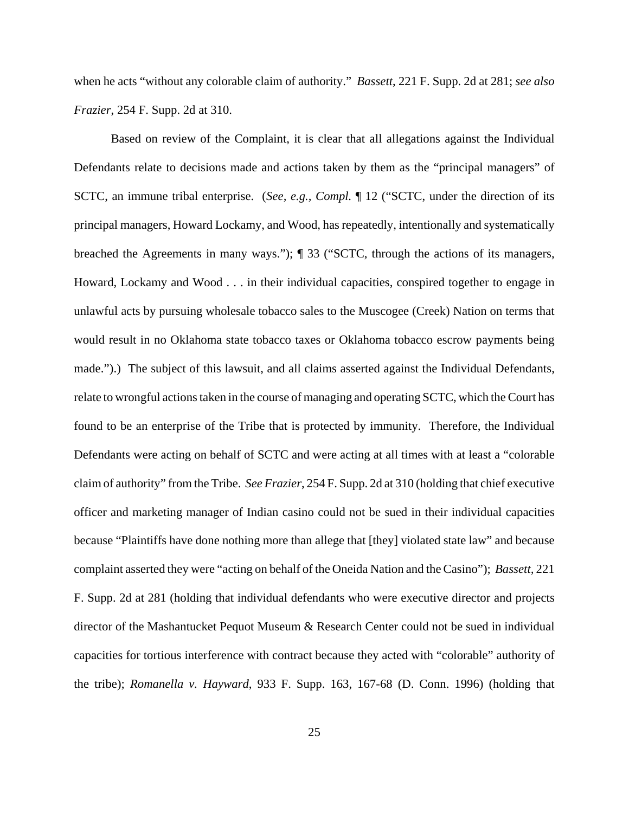when he acts "without any colorable claim of authority." *Bassett*, 221 F. Supp. 2d at 281; *see also Frazier*, 254 F. Supp. 2d at 310.

Based on review of the Complaint, it is clear that all allegations against the Individual Defendants relate to decisions made and actions taken by them as the "principal managers" of SCTC, an immune tribal enterprise. (*See, e.g., Compl.* ¶ 12 ("SCTC, under the direction of its principal managers, Howard Lockamy, and Wood, has repeatedly, intentionally and systematically breached the Agreements in many ways."); ¶ 33 ("SCTC, through the actions of its managers, Howard, Lockamy and Wood . . . in their individual capacities, conspired together to engage in unlawful acts by pursuing wholesale tobacco sales to the Muscogee (Creek) Nation on terms that would result in no Oklahoma state tobacco taxes or Oklahoma tobacco escrow payments being made.").) The subject of this lawsuit, and all claims asserted against the Individual Defendants, relate to wrongful actions taken in the course of managing and operating SCTC, which the Court has found to be an enterprise of the Tribe that is protected by immunity. Therefore, the Individual Defendants were acting on behalf of SCTC and were acting at all times with at least a "colorable claim of authority" from the Tribe. *See Frazier*, 254 F. Supp. 2d at 310 (holding that chief executive officer and marketing manager of Indian casino could not be sued in their individual capacities because "Plaintiffs have done nothing more than allege that [they] violated state law" and because complaint asserted they were "acting on behalf of the Oneida Nation and the Casino"); *Bassett,* 221 F. Supp. 2d at 281 (holding that individual defendants who were executive director and projects director of the Mashantucket Pequot Museum & Research Center could not be sued in individual capacities for tortious interference with contract because they acted with "colorable" authority of the tribe); *Romanella v. Hayward*, 933 F. Supp. 163, 167-68 (D. Conn. 1996) (holding that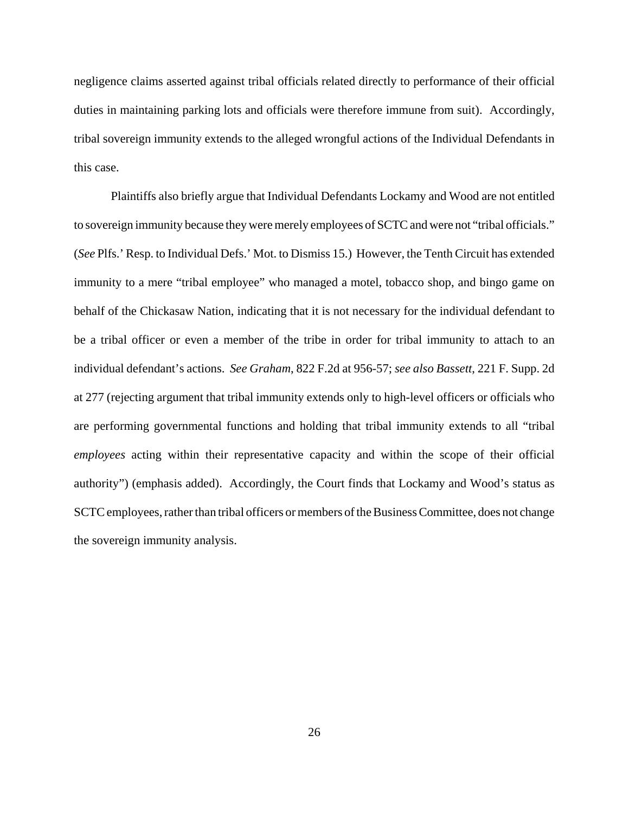negligence claims asserted against tribal officials related directly to performance of their official duties in maintaining parking lots and officials were therefore immune from suit). Accordingly, tribal sovereign immunity extends to the alleged wrongful actions of the Individual Defendants in this case.

Plaintiffs also briefly argue that Individual Defendants Lockamy and Wood are not entitled to sovereign immunity because they were merely employees of SCTC and were not "tribal officials." (*See* Plfs.' Resp. to Individual Defs.' Mot. to Dismiss 15.) However, the Tenth Circuit has extended immunity to a mere "tribal employee" who managed a motel, tobacco shop, and bingo game on behalf of the Chickasaw Nation, indicating that it is not necessary for the individual defendant to be a tribal officer or even a member of the tribe in order for tribal immunity to attach to an individual defendant's actions. *See Graham*, 822 F.2d at 956-57; *see also Bassett*, 221 F. Supp. 2d at 277 (rejecting argument that tribal immunity extends only to high-level officers or officials who are performing governmental functions and holding that tribal immunity extends to all "tribal *employees* acting within their representative capacity and within the scope of their official authority") (emphasis added). Accordingly, the Court finds that Lockamy and Wood's status as SCTC employees, rather than tribal officers or members of the Business Committee, does not change the sovereign immunity analysis.